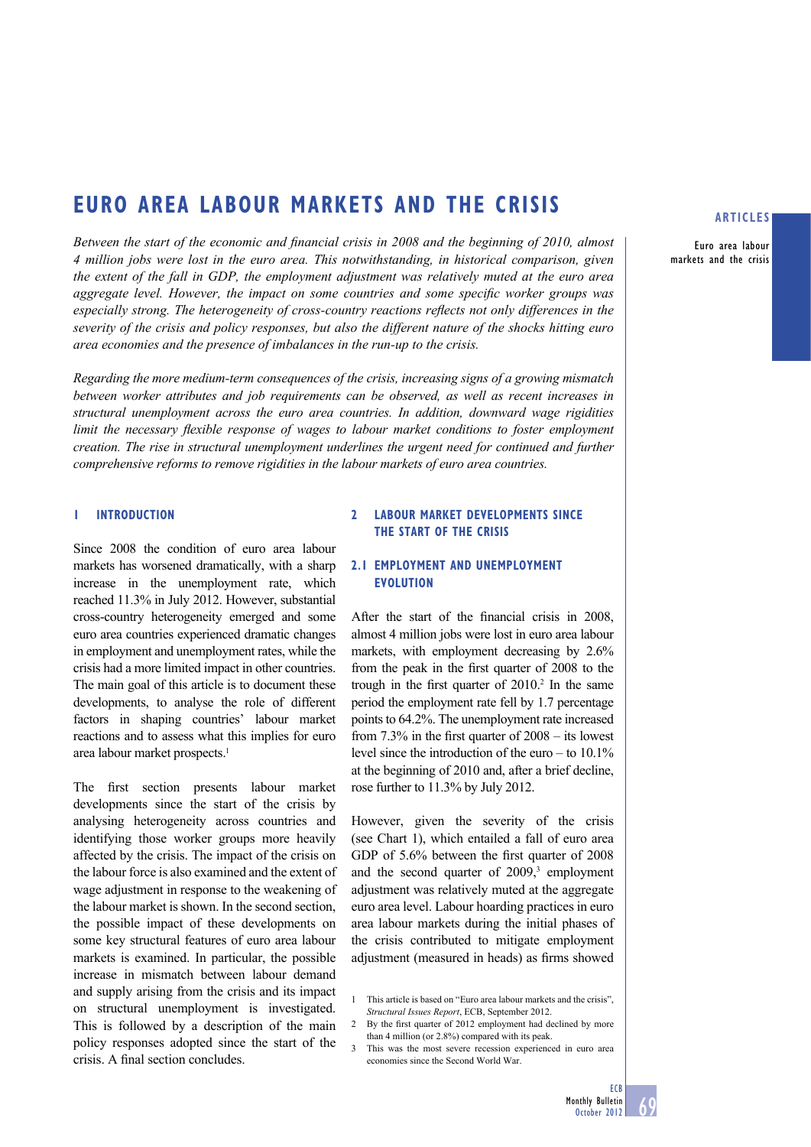# **EURO AREA LABOUR MARKETS AND THE CRISIS**

Between the start of the economic and financial crisis in 2008 and the beginning of 2010, almost *4 million jobs were lost in the euro area. This notwithstanding, in historical comparison, given the extent of the fall in GDP, the employment adjustment was relatively muted at the euro area aggregate level. However, the impact on some countries and some specific worker groups was especially strong. The heterogeneity of cross-country reactions reflects not only differences in the severity of the crisis and policy responses, but also the different nature of the shocks hitting euro area economies and the presence of imbalances in the run-up to the crisis.* 

*Regarding the more medium-term consequences of the crisis, increasing signs of a growing mismatch between worker attributes and job requirements can be observed, as well as recent increases in structural unemployment across the euro area countries. In addition, downward wage rigidities limit the necessary flexible response of wages to labour market conditions to foster employment creation. The rise in structural unemployment underlines the urgent need for continued and further comprehensive reforms to remove rigidities in the labour markets of euro area countries.*

# **1 INTRODUCTION**

Since 2008 the condition of euro area labour markets has worsened dramatically, with a sharp increase in the unemployment rate, which reached 11.3% in July 2012. However, substantial cross-country heterogeneity emerged and some euro area countries experienced dramatic changes in employment and unemployment rates, while the crisis had a more limited impact in other countries. The main goal of this article is to document these developments, to analyse the role of different factors in shaping countries' labour market reactions and to assess what this implies for euro area labour market prospects.<sup>1</sup>

The first section presents labour market developments since the start of the crisis by analysing heterogeneity across countries and identifying those worker groups more heavily affected by the crisis. The impact of the crisis on the labour force is also examined and the extent of wage adjustment in response to the weakening of the labour market is shown. In the second section, the possible impact of these developments on some key structural features of euro area labour markets is examined. In particular, the possible increase in mismatch between labour demand and supply arising from the crisis and its impact on structural unemployment is investigated. This is followed by a description of the main policy responses adopted since the start of the crisis. A final section concludes.

## **2 LABOUR MARKET DEVELOPMENTS SINCE THE START OF THE CRISIS**

# **2.1 EMPLOYMENT AND UNEMPLOYMENT EVOLUTION**

After the start of the financial crisis in  $2008$ . almost 4 million jobs were lost in euro area labour markets, with employment decreasing by 2.6% from the peak in the first quarter of 2008 to the trough in the first quarter of  $2010$ .<sup>2</sup> In the same period the employment rate fell by 1.7 percentage points to 64.2%. The unemployment rate increased from  $7.3\%$  in the first quarter of  $2008 -$  its lowest level since the introduction of the euro – to 10.1% at the beginning of 2010 and, after a brief decline, rose further to 11.3% by July 2012.

However, given the severity of the crisis (see Chart 1), which entailed a fall of euro area GDP of 5.6% between the first quarter of 2008 and the second quarter of  $2009$ ,<sup>3</sup> employment adjustment was relatively muted at the aggregate euro area level. Labour hoarding practices in euro area labour markets during the initial phases of the crisis contributed to mitigate employment adjustment (measured in heads) as firms showed

### **ARTICLES**

Euro area labour markets and the crisis

**ECB** 

<sup>1</sup> This article is based on "Euro area labour markets and the crisis", *Structural Issues Report*, ECB, September 2012.

<sup>2</sup> By the first quarter of 2012 employment had declined by more than 4 million (or 2.8%) compared with its peak.

This was the most severe recession experienced in euro area economies since the Second World War.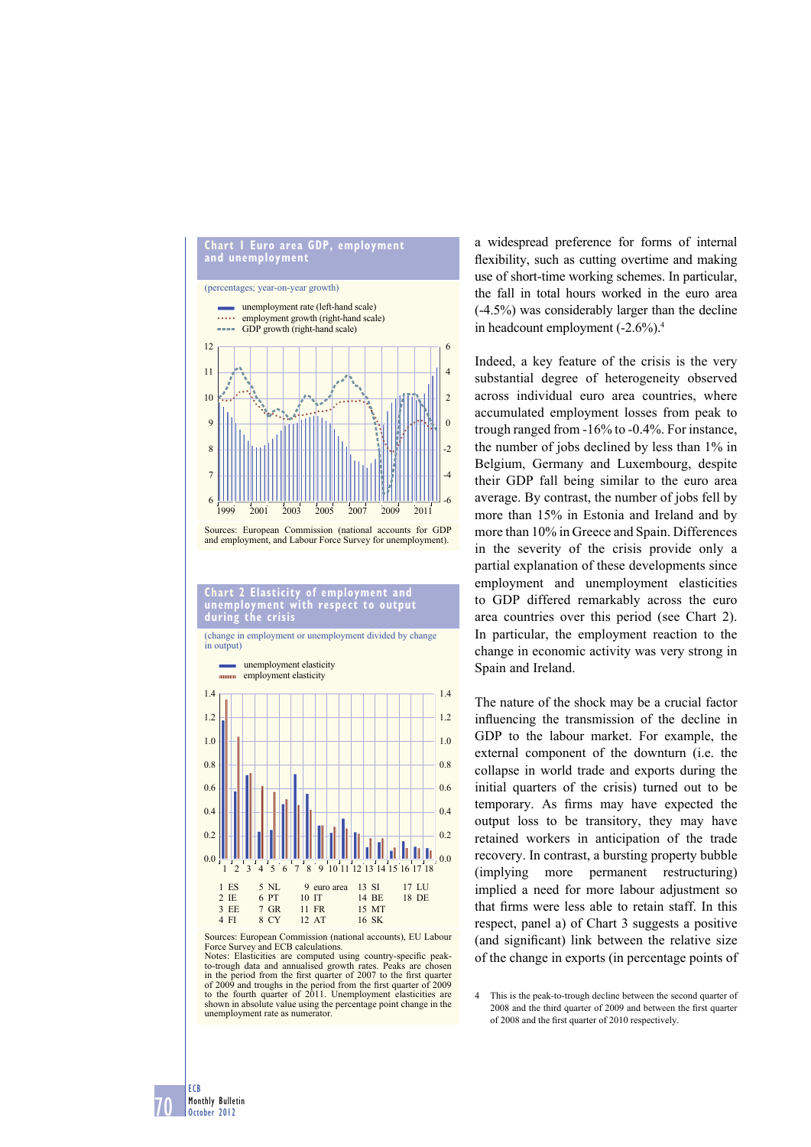

#### **Chart 2 Elasticity of employment and unemployment with respect to output during the crisis**

(change in employment or unemployment divided by change in output)



Sources: European Commission (national accounts), EU Labour Force Survey and ECB calculations. Notes: Elasticities are computed using country-specific peak-

to-trough data and annualised growth rates. Peaks are chosen<br>in the period from the first quarter of 2007 to the first quarter<br>of 2009 and troughs in the period from the first quarter of 2009<br>to the fourth quarter of 2011. shown in absolute value using the percentage point change in the unemployment rate as numerator

a widespread preference for forms of internal flexibility, such as cutting overtime and making use of short-time working schemes. In particular, the fall in total hours worked in the euro area (-4.5%) was considerably larger than the decline in headcount employment (-2.6%).4

Indeed, a key feature of the crisis is the very substantial degree of heterogeneity observed across individual euro area countries, where accumulated employment losses from peak to trough ranged from -16% to -0.4%. For instance, the number of jobs declined by less than 1% in Belgium, Germany and Luxembourg, despite their GDP fall being similar to the euro area average. By contrast, the number of jobs fell by more than 15% in Estonia and Ireland and by more than 10% in Greece and Spain. Differences in the severity of the crisis provide only a partial explanation of these developments since employment and unemployment elasticities to GDP differed remarkably across the euro area countries over this period (see Chart 2). In particular, the employment reaction to the change in economic activity was very strong in Spain and Ireland.

The nature of the shock may be a crucial factor influencing the transmission of the decline in GDP to the labour market. For example, the external component of the downturn (i.e. the collapse in world trade and exports during the initial quarters of the crisis) turned out to be temporary. As firms may have expected the output loss to be transitory, they may have retained workers in anticipation of the trade recovery. In contrast, a bursting property bubble (implying more permanent restructuring) implied a need for more labour adjustment so that firms were less able to retain staff. In this respect, panel a) of Chart 3 suggests a positive (and significant) link between the relative size of the change in exports (in percentage points of

4 This is the peak-to-trough decline between the second quarter of 2008 and the third quarter of 2009 and between the first quarter of 2008 and the first quarter of 2010 respectively.

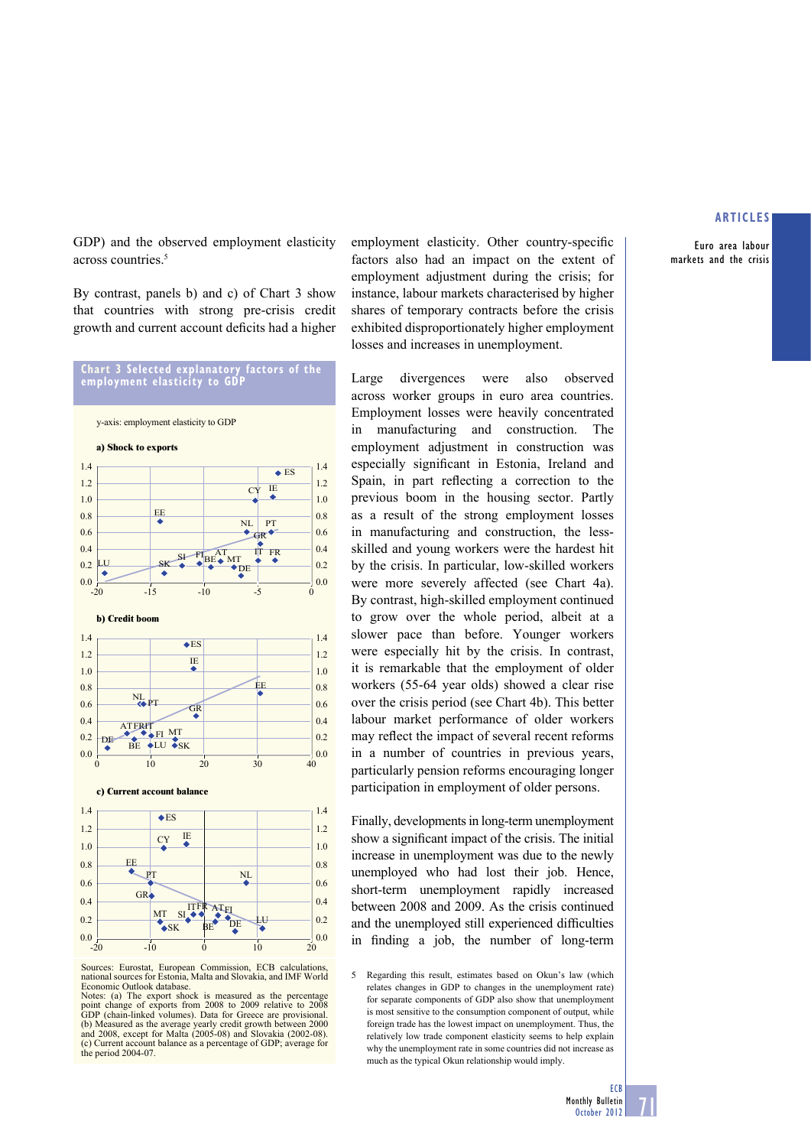Euro area labour markets and the crisis

GDP) and the observed employment elasticity across countries.<sup>5</sup>

By contrast, panels b) and c) of Chart 3 show that countries with strong pre-crisis credit growth and current account deficits had a higher



y-axis: employment elasticity to GDP



Sources: Eurostat, European Commission, ECB calculations, national sources for Estonia, Malta and Slovakia, and IMF World Economic Outlook database.

employment elasticity. Other country-specific factors also had an impact on the extent of employment adjustment during the crisis; for instance, labour markets characterised by higher shares of temporary contracts before the crisis exhibited disproportionately higher employment losses and increases in unemployment.

Large divergences were also observed across worker groups in euro area countries. Employment losses were heavily concentrated in manufacturing and construction. The employment adjustment in construction was especially significant in Estonia, Ireland and Spain, in part reflecting a correction to the previous boom in the housing sector. Partly as a result of the strong employment losses in manufacturing and construction, the lessskilled and young workers were the hardest hit by the crisis. In particular, low-skilled workers were more severely affected (see Chart 4a). By contrast, high-skilled employment continued to grow over the whole period, albeit at a slower pace than before. Younger workers were especially hit by the crisis. In contrast, it is remarkable that the employment of older workers (55-64 year olds) showed a clear rise over the crisis period (see Chart 4b). This better labour market performance of older workers may reflect the impact of several recent reforms in a number of countries in previous years, particularly pension reforms encouraging longer participation in employment of older persons.

Finally, developments in long-term unemployment show a significant impact of the crisis. The initial increase in unemployment was due to the newly unemployed who had lost their job. Hence, short-term unemployment rapidly increased between 2008 and 2009. As the crisis continued and the unemployed still experienced difficulties in finding a job, the number of long-term

5 Regarding this result, estimates based on Okun's law (which relates changes in GDP to changes in the unemployment rate) for separate components of GDP also show that unemployment is most sensitive to the consumption component of output, while foreign trade has the lowest impact on unemployment. Thus, the relatively low trade component elasticity seems to help explain why the unemployment rate in some countries did not increase as much as the typical Okun relationship would imply.

Notes: (a) The export shock is measured as the percentage point change of exports from 2008 to 2009 relative to 2008 GDP (chain-linked volumes). Data for Greece are provisional. (b) Measured as the average yearly credit growth between 2000 and 2008, except for Malta (2005-08) and Slovakia (2002-08). (c) Current account balance as a percentage of GDP; average for the period 2004-07.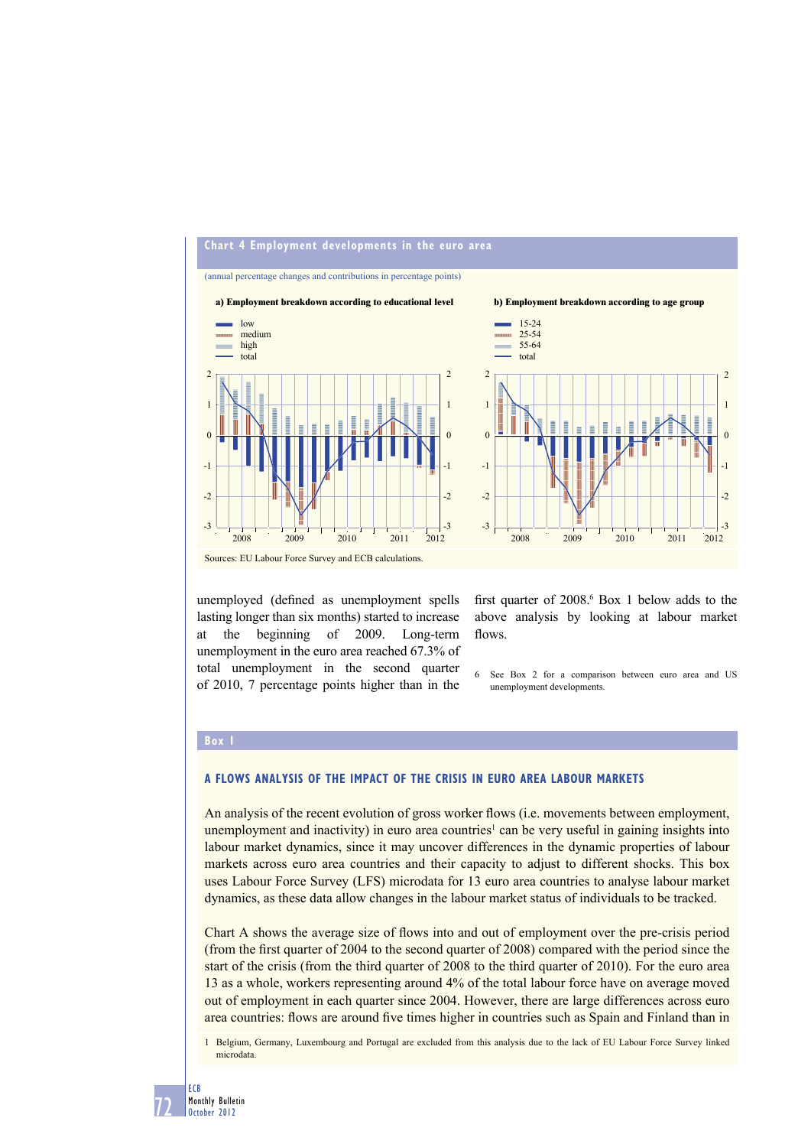

unemployed (defined as unemployment spells lasting longer than six months) started to increase at the beginning of 2009. Long-term unemployment in the euro area reached 67.3% of total unemployment in the second quarter of 2010, 7 percentage points higher than in the

first quarter of  $2008<sup>6</sup>$  Box 1 below adds to the above analysis by looking at labour market flows.

6 See Box 2 for a comparison between euro area and US unemployment developments.

# **Box 1**

#### **A FLOWS ANALYSIS OF THE IMPACT OF THE CRISIS IN EURO AREA LABOUR MARKETS**

An analysis of the recent evolution of gross worker flows (i.e. movements between employment, unemployment and inactivity) in euro area countries<sup>1</sup> can be very useful in gaining insights into labour market dynamics, since it may uncover differences in the dynamic properties of labour markets across euro area countries and their capacity to adjust to different shocks. This box uses Labour Force Survey (LFS) microdata for 13 euro area countries to analyse labour market dynamics, as these data allow changes in the labour market status of individuals to be tracked.

Chart A shows the average size of flows into and out of employment over the pre-crisis period (from the first quarter of  $2004$  to the second quarter of  $2008$ ) compared with the period since the start of the crisis (from the third quarter of 2008 to the third quarter of 2010). For the euro area 13 as a whole, workers representing around 4% of the total labour force have on average moved out of employment in each quarter since 2004. However, there are large differences across euro area countries: flows are around five times higher in countries such as Spain and Finland than in

1 Belgium, Germany, Luxembourg and Portugal are excluded from this analysis due to the lack of EU Labour Force Survey linked microdata.

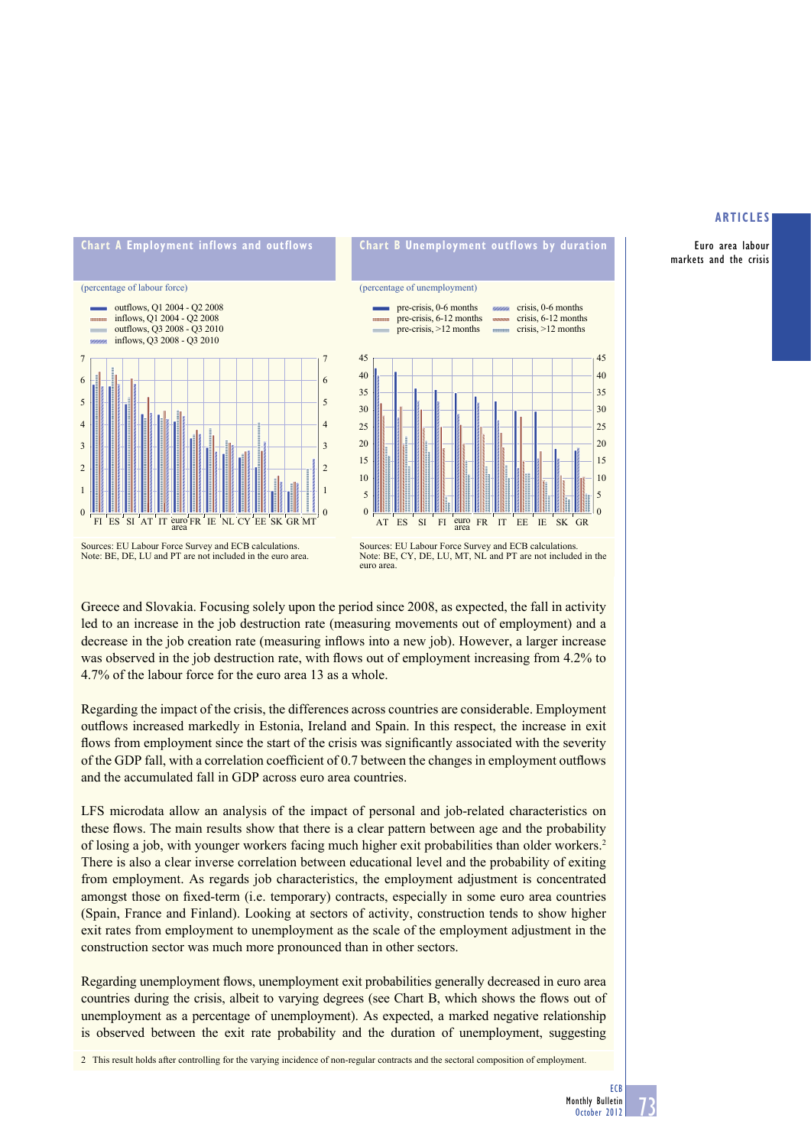Euro area labour markets and the crisis



Greece and Slovakia. Focusing solely upon the period since 2008, as expected, the fall in activity led to an increase in the job destruction rate (measuring movements out of employment) and a decrease in the job creation rate (measuring inflows into a new job). However, a larger increase was observed in the job destruction rate, with flows out of employment increasing from 4.2% to 4.7% of the labour force for the euro area 13 as a whole.

Regarding the impact of the crisis, the differences across countries are considerable. Employment outflows increased markedly in Estonia. Ireland and Spain. In this respect, the increase in exit flows from employment since the start of the crisis was significantly associated with the severity of the GDP fall, with a correlation coefficient of 0.7 between the changes in employment outflows and the accumulated fall in GDP across euro area countries.

LFS microdata allow an analysis of the impact of personal and job-related characteristics on these flows. The main results show that there is a clear pattern between age and the probability of losing a job, with younger workers facing much higher exit probabilities than older workers.2 There is also a clear inverse correlation between educational level and the probability of exiting from employment. As regards job characteristics, the employment adjustment is concentrated amongst those on fixed-term (i.e. temporary) contracts, especially in some euro area countries (Spain, France and Finland). Looking at sectors of activity, construction tends to show higher exit rates from employment to unemployment as the scale of the employment adjustment in the construction sector was much more pronounced than in other sectors.

Regarding unemployment flows, unemployment exit probabilities generally decreased in euro area countries during the crisis, albeit to varying degrees (see Chart B, which shows the flows out of unemployment as a percentage of unemployment). As expected, a marked negative relationship is observed between the exit rate probability and the duration of unemployment, suggesting

2 This result holds after controlling for the varying incidence of non-regular contracts and the sectoral composition of employment.

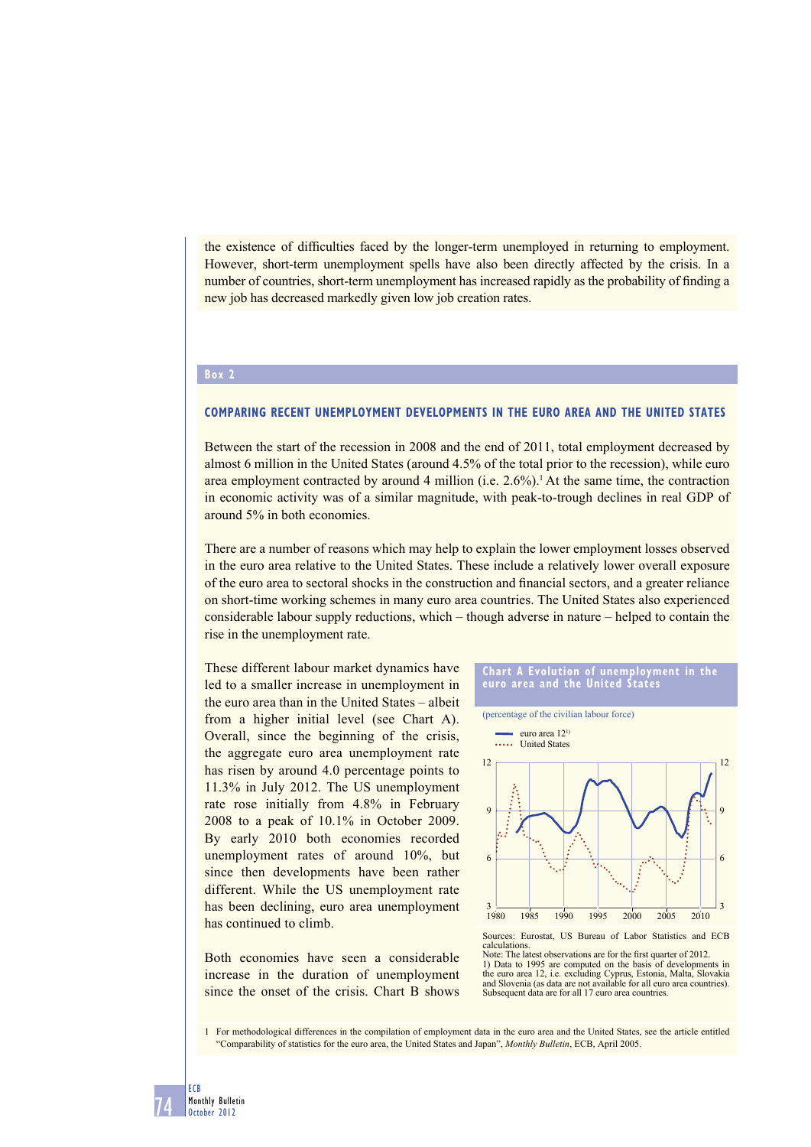the existence of difficulties faced by the longer-term unemployed in returning to employment. However, short-term unemployment spells have also been directly affected by the crisis. In a number of countries, short-term unemployment has increased rapidly as the probability of finding a new job has decreased markedly given low job creation rates.

## **Box 2**

#### **COMPARING RECENT UNEMPLOYMENT DEVELOPMENTS IN THE EURO AREA AND THE UNITED STATES**

Between the start of the recession in 2008 and the end of 2011, total employment decreased by almost 6 million in the United States (around 4.5% of the total prior to the recession), while euro area employment contracted by around 4 million (i.e.  $2.6\%$ ).<sup>1</sup> At the same time, the contraction in economic activity was of a similar magnitude, with peak-to-trough declines in real GDP of around 5% in both economies.

There are a number of reasons which may help to explain the lower employment losses observed in the euro area relative to the United States. These include a relatively lower overall exposure of the euro area to sectoral shocks in the construction and financial sectors, and a greater reliance on short-time working schemes in many euro area countries. The United States also experienced considerable labour supply reductions, which – though adverse in nature – helped to contain the rise in the unemployment rate.

These different labour market dynamics have led to a smaller increase in unemployment in the euro area than in the United States – albeit from a higher initial level (see Chart A). Overall, since the beginning of the crisis, the aggregate euro area unemployment rate has risen by around 4.0 percentage points to 11.3% in July 2012. The US unemployment rate rose initially from 4.8% in February 2008 to a peak of 10.1% in October 2009. By early 2010 both economies recorded unemployment rates of around 10%, but since then developments have been rather different. While the US unemployment rate has been declining, euro area unemployment has continued to climb.

Both economies have seen a considerable increase in the duration of unemployment since the onset of the crisis. Chart B shows

#### **Chart A Evolution of unemployment in the euro area and the United States**



Sources: Eurostat, US Bureau of Labor Statistics and ECB calculations.

Note: The latest observations are for the first quarter of 2012. 1) Data to 1995 are computed on the basis of developments in the euro area 12, i.e. excluding Cyprus, Estonia, Malta, Slovakia and Slovenia (as data are not available for all euro area countries). Subsequent data are for all 17 euro area countries.

1 For methodological differences in the compilation of employment data in the euro area and the United States, see the article entitled "Comparability of statistics for the euro area, the United States and Japan", *Monthly Bulletin*, ECB, April 2005.

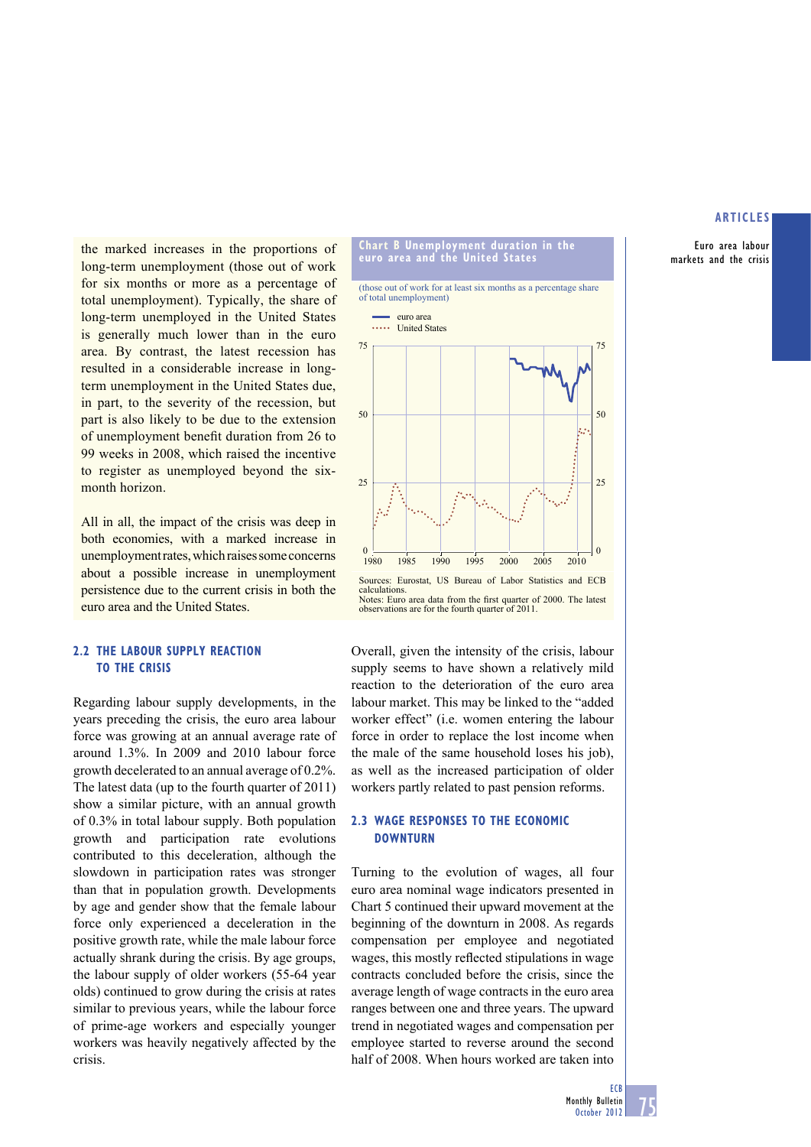Euro area labour markets and the crisis

the marked increases in the proportions of long-term unemployment (those out of work for six months or more as a percentage of total unemployment). Typically, the share of long-term unemployed in the United States is generally much lower than in the euro area. By contrast, the latest recession has resulted in a considerable increase in longterm unemployment in the United States due, in part, to the severity of the recession, but part is also likely to be due to the extension of unemployment benefit duration from 26 to 99 weeks in 2008, which raised the incentive to register as unemployed beyond the sixmonth horizon.

All in all, the impact of the crisis was deep in both economies, with a marked increase in unemployment rates, which raises some concerns about a possible increase in unemployment persistence due to the current crisis in both the euro area and the United States.

## **2.2 THE LABOUR SUPPLY REACTION TO THE CRISIS**

Regarding labour supply developments, in the years preceding the crisis, the euro area labour force was growing at an annual average rate of around 1.3%. In 2009 and 2010 labour force growth decelerated to an annual average of 0.2%. The latest data (up to the fourth quarter of 2011) show a similar picture, with an annual growth of 0.3% in total labour supply. Both population growth and participation rate evolutions contributed to this deceleration, although the slowdown in participation rates was stronger than that in population growth. Developments by age and gender show that the female labour force only experienced a deceleration in the positive growth rate, while the male labour force actually shrank during the crisis. By age groups, the labour supply of older workers (55-64 year olds) continued to grow during the crisis at rates similar to previous years, while the labour force of prime-age workers and especially younger workers was heavily negatively affected by the crisis.

#### **Chart B Unemployment duration in the euro area and the United States**

(those out of work for at least six months as a percentage share of total unemployment)



Overall, given the intensity of the crisis, labour supply seems to have shown a relatively mild reaction to the deterioration of the euro area labour market. This may be linked to the "added worker effect" (i.e. women entering the labour force in order to replace the lost income when the male of the same household loses his job), as well as the increased participation of older workers partly related to past pension reforms.

### **2.3 WAGE RESPONSES TO THE ECONOMIC DOWNTURN**

Turning to the evolution of wages, all four euro area nominal wage indicators presented in Chart 5 continued their upward movement at the beginning of the downturn in 2008. As regards compensation per employee and negotiated wages, this mostly reflected stipulations in wage contracts concluded before the crisis, since the average length of wage contracts in the euro area ranges between one and three years. The upward trend in negotiated wages and compensation per employee started to reverse around the second half of 2008. When hours worked are taken into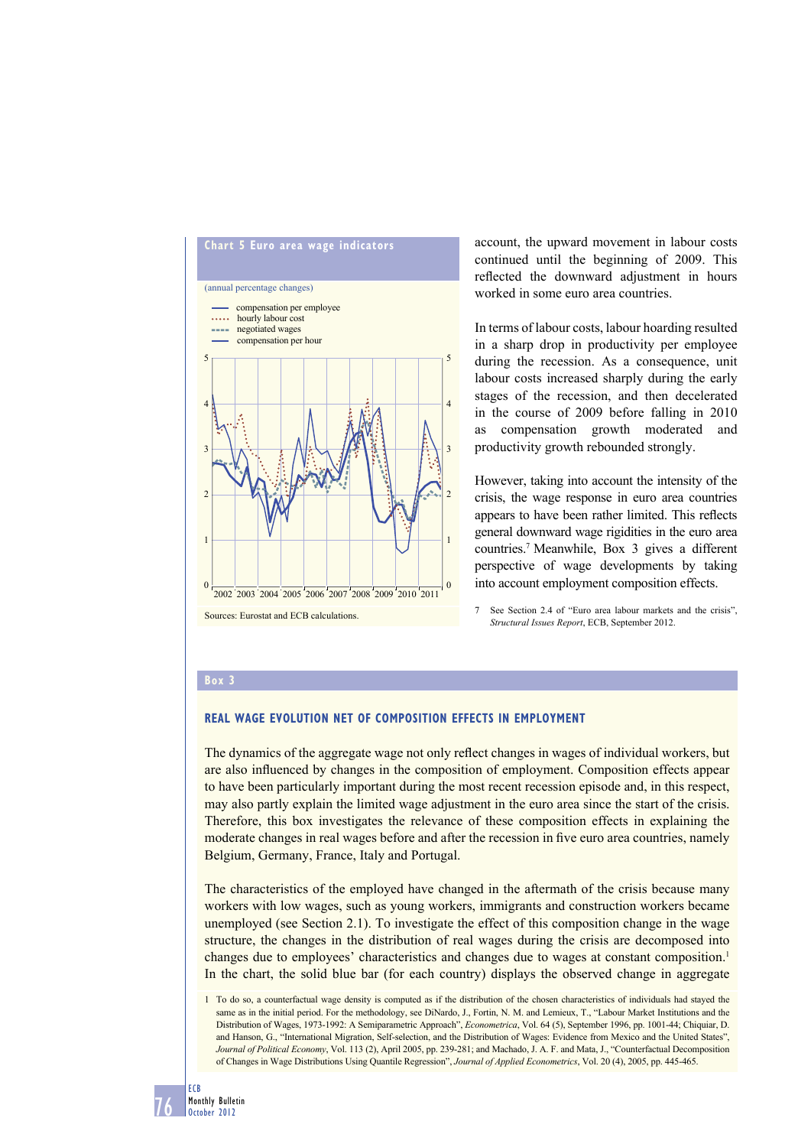

account, the upward movement in labour costs continued until the beginning of 2009. This reflected the downward adjustment in hours worked in some euro area countries.

In terms of labour costs, labour hoarding resulted in a sharp drop in productivity per employee during the recession. As a consequence, unit labour costs increased sharply during the early stages of the recession, and then decelerated in the course of 2009 before falling in 2010 as compensation growth moderated and productivity growth rebounded strongly.

However, taking into account the intensity of the crisis, the wage response in euro area countries appears to have been rather limited. This reflects general downward wage rigidities in the euro area countries.7 Meanwhile, Box 3 gives a different perspective of wage developments by taking into account employment composition effects.

7 See Section 2.4 of "Euro area labour markets and the crisis", *Structural Issues Report*, ECB, September 2012.

#### **Box 3**

### **REAL WAGE EVOLUTION NET OF COMPOSITION EFFECTS IN EMPLOYMENT**

The dynamics of the aggregate wage not only reflect changes in wages of individual workers, but are also influenced by changes in the composition of employment. Composition effects appear to have been particularly important during the most recent recession episode and, in this respect, may also partly explain the limited wage adjustment in the euro area since the start of the crisis. Therefore, this box investigates the relevance of these composition effects in explaining the moderate changes in real wages before and after the recession in five euro area countries, namely Belgium, Germany, France, Italy and Portugal.

The characteristics of the employed have changed in the aftermath of the crisis because many workers with low wages, such as young workers, immigrants and construction workers became unemployed (see Section 2.1). To investigate the effect of this composition change in the wage structure, the changes in the distribution of real wages during the crisis are decomposed into changes due to employees' characteristics and changes due to wages at constant composition.<sup>1</sup> In the chart, the solid blue bar (for each country) displays the observed change in aggregate

<sup>1</sup> To do so, a counterfactual wage density is computed as if the distribution of the chosen characteristics of individuals had stayed the same as in the initial period. For the methodology, see DiNardo, J., Fortin, N. M. and Lemieux, T., "Labour Market Institutions and the Distribution of Wages, 1973-1992: A Semiparametric Approach", *Econometrica*, Vol. 64 (5), September 1996, pp. 1001-44; Chiquiar, D. and Hanson, G., "International Migration, Self-selection, and the Distribution of Wages: Evidence from Mexico and the United States", *Journal of Political Economy*, Vol. 113 (2), April 2005, pp. 239-281; and Machado, J. A. F. and Mata, J., "Counterfactual Decomposition of Changes in Wage Distributions Using Quantile Regression", *Journal of Applied Econometrics*, Vol. 20 (4), 2005, pp. 445-465.

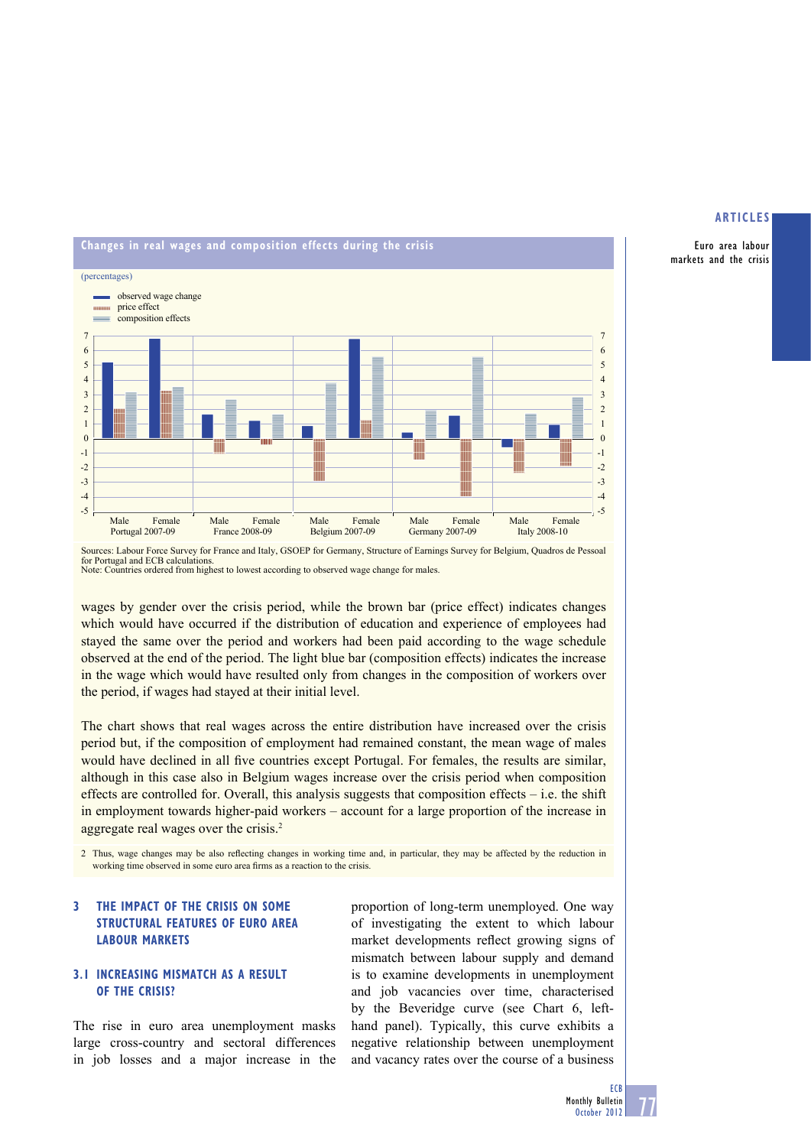Euro area labour markets and the crisis



Sources: Labour Force Survey for France and Italy, GSOEP for Germany, Structure of Earnings Survey for Belgium, Quadros de Pessoal for Portugal and ECB calculations. Note: Countries ordered from highest to lowest according to observed wage change for males.

wages by gender over the crisis period, while the brown bar (price effect) indicates changes which would have occurred if the distribution of education and experience of employees had stayed the same over the period and workers had been paid according to the wage schedule observed at the end of the period. The light blue bar (composition effects) indicates the increase in the wage which would have resulted only from changes in the composition of workers over the period, if wages had stayed at their initial level.

The chart shows that real wages across the entire distribution have increased over the crisis period but, if the composition of employment had remained constant, the mean wage of males would have declined in all five countries except Portugal. For females, the results are similar, although in this case also in Belgium wages increase over the crisis period when composition effects are controlled for. Overall, this analysis suggests that composition effects – i.e. the shift in employment towards higher-paid workers – account for a large proportion of the increase in aggregate real wages over the crisis.2

2. Thus, wage changes may be also reflecting changes in working time and, in particular, they may be affected by the reduction in working time observed in some euro area firms as a reaction to the crisis.

# **3 THE IMPACT OF THE CRISIS ON SOME STRUCTURAL FEATURES OF EURO AREA LABOUR MARKETS**

# **3.1 INCREASING MISMATCH AS A RESULT OF THE CRISIS?**

The rise in euro area unemployment masks large cross-country and sectoral differences in job losses and a major increase in the

proportion of long-term unemployed. One way of investigating the extent to which labour market developments reflect growing signs of mismatch between labour supply and demand is to examine developments in unemployment and job vacancies over time, characterised by the Beveridge curve (see Chart 6, lefthand panel). Typically, this curve exhibits a negative relationship between unemployment and vacancy rates over the course of a business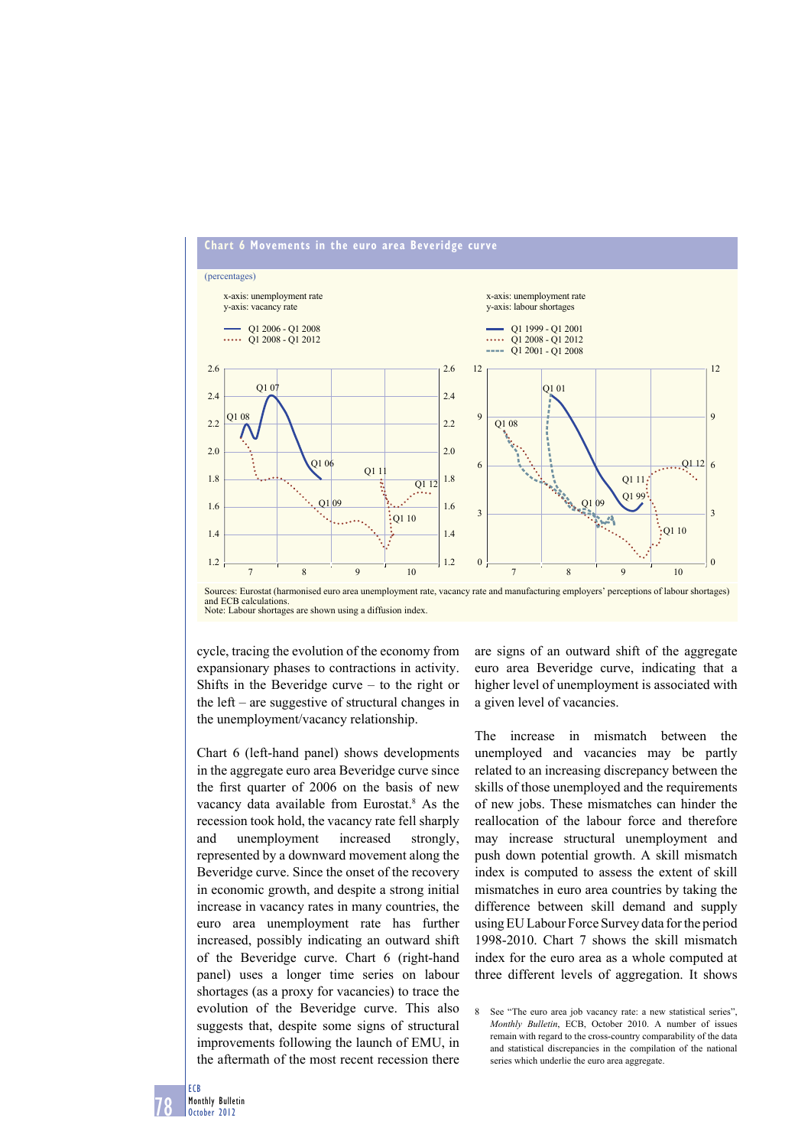

Sources: Eurostat (harmonised euro area unemployment rate, vacancy rate and manufacturing employers' perceptions of labour shortages) and ECB calculations. Note: Labour shortages are shown using a diffusion index.

cycle, tracing the evolution of the economy from expansionary phases to contractions in activity. Shifts in the Beveridge curve – to the right or the left – are suggestive of structural changes in the unemployment/vacancy relationship.

Chart 6 (left-hand panel) shows developments in the aggregate euro area Beveridge curve since the first quarter of 2006 on the basis of new vacancy data available from Eurostat.<sup>8</sup> As the recession took hold, the vacancy rate fell sharply and unemployment increased strongly, represented by a downward movement along the Beveridge curve. Since the onset of the recovery in economic growth, and despite a strong initial increase in vacancy rates in many countries, the euro area unemployment rate has further increased, possibly indicating an outward shift of the Beveridge curve. Chart 6 (right-hand panel) uses a longer time series on labour shortages (as a proxy for vacancies) to trace the evolution of the Beveridge curve. This also suggests that, despite some signs of structural improvements following the launch of EMU, in the aftermath of the most recent recession there

are signs of an outward shift of the aggregate euro area Beveridge curve, indicating that a higher level of unemployment is associated with a given level of vacancies.

The increase in mismatch between the unemployed and vacancies may be partly related to an increasing discrepancy between the skills of those unemployed and the requirements of new jobs. These mismatches can hinder the reallocation of the labour force and therefore may increase structural unemployment and push down potential growth. A skill mismatch index is computed to assess the extent of skill mismatches in euro area countries by taking the difference between skill demand and supply using EU Labour Force Survey data for the period 1998-2010. Chart 7 shows the skill mismatch index for the euro area as a whole computed at three different levels of aggregation. It shows

8 See "The euro area job vacancy rate: a new statistical series", *Monthly Bulletin*, ECB, October 2010. A number of issues remain with regard to the cross-country comparability of the data and statistical discrepancies in the compilation of the national series which underlie the euro area aggregate.

78 ECB Monthly Bulletin October 2012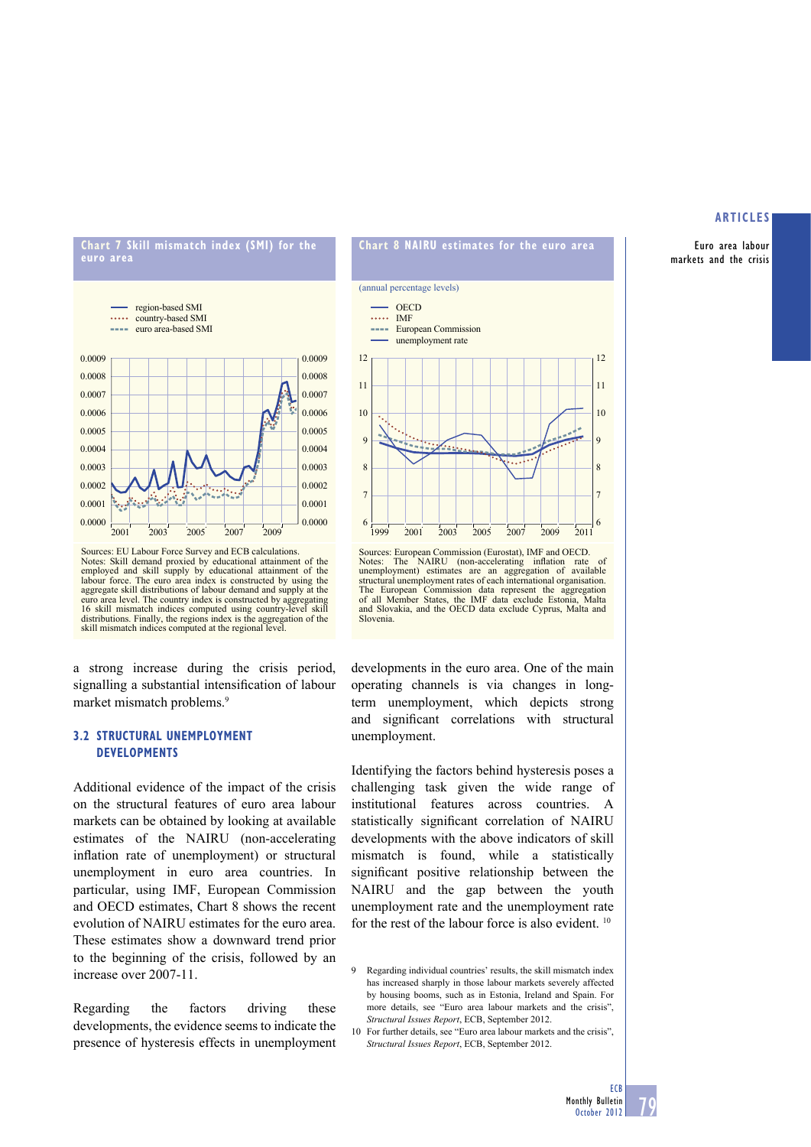Euro area labour markets and the crisis





Sources: EU Labour Force Survey and ECB calculations. Notes: Skill demand proxied by educational attainment of the employed and skill supply by educational attainment of the labour force. The euro area index is constructed by using the aggregate skill distributions of labour demand and supply at the euro area level. The country index is constructed by aggregating 16 skill mismatch indices computed using country-level skill distributions. Finally, the regions index is the aggregation of the skill mismatch indices computed at the regional level.

a strong increase during the crisis period, signalling a substantial intensification of labour market mismatch problems.<sup>9</sup>

# **3.2 STRUCTURAL UNEMPLOYMENT DEVELOPMENTS**

Additional evidence of the impact of the crisis on the structural features of euro area labour markets can be obtained by looking at available estimates of the NAIRU (non-accelerating inflation rate of unemployment) or structural unemployment in euro area countries. In particular, using IMF, European Commission and OECD estimates, Chart 8 shows the recent evolution of NAIRU estimates for the euro area. These estimates show a downward trend prior to the beginning of the crisis, followed by an increase over 2007-11.

Regarding the factors driving these developments, the evidence seems to indicate the presence of hysteresis effects in unemployment





7

8

 $\epsilon$ 

developments in the euro area. One of the main operating channels is via changes in longterm unemployment, which depicts strong and significant correlations with structural unemployment.

Identifying the factors behind hysteresis poses a challenging task given the wide range of institutional features across countries. A statistically significant correlation of NAIRU developments with the above indicators of skill mismatch is found, while a statistically significant positive relationship between the NAIRU and the gap between the youth unemployment rate and the unemployment rate for the rest of the labour force is also evident.<sup>10</sup>

7 8

 $\overline{a}$ 

<sup>9</sup> Regarding individual countries' results, the skill mismatch index has increased sharply in those labour markets severely affected by housing booms, such as in Estonia, Ireland and Spain. For more details, see "Euro area labour markets and the crisis". *Structural Issues Report*, ECB, September 2012.

<sup>10</sup> For further details, see "Euro area labour markets and the crisis", *Structural Issues Report*, ECB, September 2012.